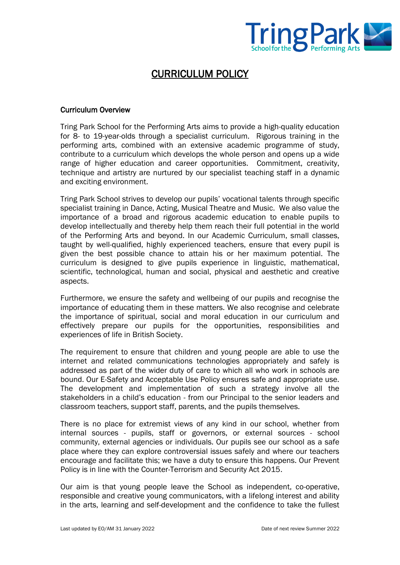

# CURRICULUM POLICY

#### Curriculum Overview

Tring Park School for the Performing Arts aims to provide a high-quality education for 8- to 19-year-olds through a specialist curriculum. Rigorous training in the performing arts, combined with an extensive academic programme of study, contribute to a curriculum which develops the whole person and opens up a wide range of higher education and career opportunities. Commitment, creativity, technique and artistry are nurtured by our specialist teaching staff in a dynamic and exciting environment.

Tring Park School strives to develop our pupils' vocational talents through specific specialist training in Dance, Acting, Musical Theatre and Music. We also value the importance of a broad and rigorous academic education to enable pupils to develop intellectually and thereby help them reach their full potential in the world of the Performing Arts and beyond. In our Academic Curriculum, small classes, taught by well-qualified, highly experienced teachers, ensure that every pupil is given the best possible chance to attain his or her maximum potential. The curriculum is designed to give pupils experience in linguistic, mathematical, scientific, technological, human and social, physical and aesthetic and creative aspects.

Furthermore, we ensure the safety and wellbeing of our pupils and recognise the importance of educating them in these matters. We also recognise and celebrate the importance of spiritual, social and moral education in our curriculum and effectively prepare our pupils for the opportunities, responsibilities and experiences of life in British Society.

The requirement to ensure that children and young people are able to use the internet and related communications technologies appropriately and safely is addressed as part of the wider duty of care to which all who work in schools are bound. Our E-Safety and Acceptable Use Policy ensures safe and appropriate use. The development and implementation of such a strategy involve all the stakeholders in a child's education - from our Principal to the senior leaders and classroom teachers, support staff, parents, and the pupils themselves.

There is no place for extremist views of any kind in our school, whether from internal sources - pupils, staff or governors, or external sources - school community, external agencies or individuals. Our pupils see our school as a safe place where they can explore controversial issues safely and where our teachers encourage and facilitate this; we have a duty to ensure this happens. Our Prevent Policy is in line with the Counter-Terrorism and Security Act 2015.

Our aim is that young people leave the School as independent, co-operative, responsible and creative young communicators, with a lifelong interest and ability in the arts, learning and self-development and the confidence to take the fullest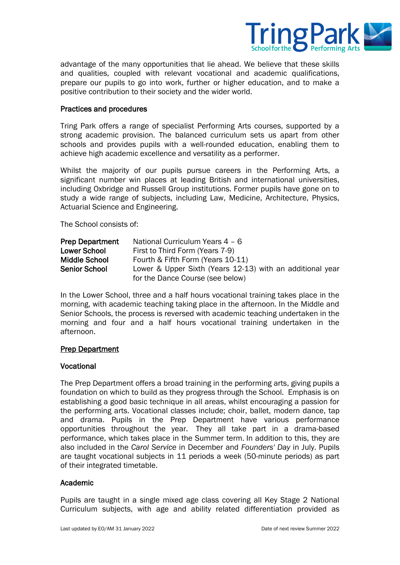

advantage of the many opportunities that lie ahead. We believe that these skills and qualities, coupled with relevant vocational and academic qualifications, prepare our pupils to go into work, further or higher education, and to make a positive contribution to their society and the wider world.

#### Practices and procedures

Tring Park offers a range of specialist Performing Arts courses, supported by a strong academic provision. The balanced curriculum sets us apart from other schools and provides pupils with a well-rounded education, enabling them to achieve high academic excellence and versatility as a performer.

Whilst the majority of our pupils pursue careers in the Performing Arts, a significant number win places at leading British and international universities, including Oxbridge and Russell Group institutions. Former pupils have gone on to study a wide range of subjects, including Law, Medicine, Architecture, Physics, Actuarial Science and Engineering.

The School consists of:

| <b>Prep Department</b> | National Curriculum Years 4 - 6                           |
|------------------------|-----------------------------------------------------------|
| <b>Lower School</b>    | First to Third Form (Years 7-9)                           |
| <b>Middle School</b>   | Fourth & Fifth Form (Years 10-11)                         |
| <b>Senior School</b>   | Lower & Upper Sixth (Years 12-13) with an additional year |
|                        | for the Dance Course (see below)                          |

In the Lower School, three and a half hours vocational training takes place in the morning, with academic teaching taking place in the afternoon. In the Middle and Senior Schools, the process is reversed with academic teaching undertaken in the morning and four and a half hours vocational training undertaken in the afternoon.

#### Prep Department

#### Vocational

The Prep Department offers a broad training in the performing arts, giving pupils a foundation on which to build as they progress through the School. Emphasis is on establishing a good basic technique in all areas, whilst encouraging a passion for the performing arts. Vocational classes include; choir, ballet, modern dance, tap and drama. Pupils in the Prep Department have various performance opportunities throughout the year. They all take part in a drama-based performance, which takes place in the Summer term. In addition to this, they are also included in the *Carol Service* in December and *Founders' Day* in July. Pupils are taught vocational subjects in 11 periods a week (50-minute periods) as part of their integrated timetable.

#### Academic

Pupils are taught in a single mixed age class covering all Key Stage 2 National Curriculum subjects, with age and ability related differentiation provided as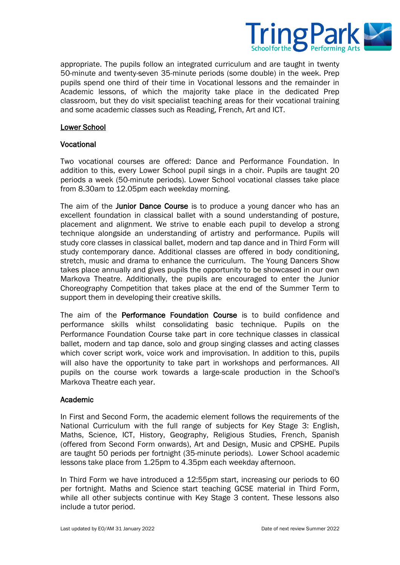

appropriate. The pupils follow an integrated curriculum and are taught in twenty 50-minute and twenty-seven 35-minute periods (some double) in the week. Prep pupils spend one third of their time in Vocational lessons and the remainder in Academic lessons, of which the majority take place in the dedicated Prep classroom, but they do visit specialist teaching areas for their vocational training and some academic classes such as Reading, French, Art and ICT.

#### Lower School

## Vocational

Two vocational courses are offered: Dance and Performance Foundation. In addition to this, every Lower School pupil sings in a choir. Pupils are taught 20 periods a week (50-minute periods). Lower School vocational classes take place from 8.30am to 12.05pm each weekday morning.

The aim of the **Junior Dance Course** is to produce a young dancer who has an excellent foundation in classical ballet with a sound understanding of posture, placement and alignment. We strive to enable each pupil to develop a strong technique alongside an understanding of artistry and performance. Pupils will study core classes in classical ballet, modern and tap dance and in Third Form will study contemporary dance. Additional classes are offered in body conditioning, stretch, music and drama to enhance the curriculum. The Young Dancers Show takes place annually and gives pupils the opportunity to be showcased in our own Markova Theatre. Additionally, the pupils are encouraged to enter the Junior Choreography Competition that takes place at the end of the Summer Term to support them in developing their creative skills.

The aim of the Performance Foundation Course is to build confidence and performance skills whilst consolidating basic technique. Pupils on the Performance Foundation Course take part in core technique classes in classical ballet, modern and tap dance, solo and group singing classes and acting classes which cover script work, voice work and improvisation. In addition to this, pupils will also have the opportunity to take part in workshops and performances. All pupils on the course work towards a large-scale production in the School's Markova Theatre each year.

#### Academic

In First and Second Form, the academic element follows the requirements of the National Curriculum with the full range of subjects for Key Stage 3: English, Maths, Science, ICT, History, Geography, Religious Studies, French, Spanish (offered from Second Form onwards), Art and Design, Music and CPSHE. Pupils are taught 50 periods per fortnight (35-minute periods). Lower School academic lessons take place from 1.25pm to 4.35pm each weekday afternoon.

In Third Form we have introduced a 12:55pm start, increasing our periods to 60 per fortnight. Maths and Science start teaching GCSE material in Third Form, while all other subjects continue with Key Stage 3 content. These lessons also include a tutor period.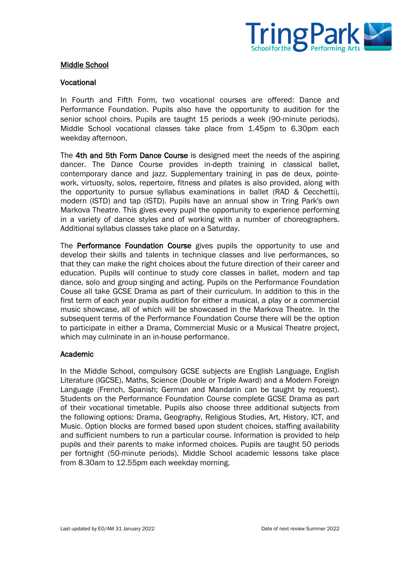

## Middle School

#### Vocational

In Fourth and Fifth Form, two vocational courses are offered: Dance and Performance Foundation. Pupils also have the opportunity to audition for the senior school choirs. Pupils are taught 15 periods a week (90-minute periods). Middle School vocational classes take place from 1.45pm to 6.30pm each weekday afternoon.

The 4th and 5th Form Dance Course is designed meet the needs of the aspiring dancer. The Dance Course provides in-depth training in classical ballet, contemporary dance and jazz. Supplementary training in pas de deux, pointework, virtuosity, solos, repertoire, fitness and pilates is also provided, along with the opportunity to pursue syllabus examinations in ballet (RAD & Cecchetti), modern (ISTD) and tap (ISTD). Pupils have an annual show in Tring Park's own Markova Theatre. This gives every pupil the opportunity to experience performing in a variety of dance styles and of working with a number of choreographers. Additional syllabus classes take place on a Saturday.

The Performance Foundation Course gives pupils the opportunity to use and develop their skills and talents in technique classes and live performances, so that they can make the right choices about the future direction of their career and education. Pupils will continue to study core classes in ballet, modern and tap dance, solo and group singing and acting. Pupils on the Performance Foundation Couse all take GCSE Drama as part of their curriculum. In addition to this in the first term of each year pupils audition for either a musical, a play or a commercial music showcase, all of which will be showcased in the Markova Theatre. In the subsequent terms of the Performance Foundation Course there will be the option to participate in either a Drama, Commercial Music or a Musical Theatre project, which may culminate in an in-house performance.

#### Academic

In the Middle School, compulsory GCSE subjects are English Language, English Literature (IGCSE), Maths, Science (Double or Triple Award) and a Modern Foreign Language (French, Spanish; German and Mandarin can be taught by request). Students on the Performance Foundation Course complete GCSE Drama as part of their vocational timetable. Pupils also choose three additional subjects from the following options: Drama, Geography, Religious Studies, Art, History, ICT, and Music. Option blocks are formed based upon student choices, staffing availability and sufficient numbers to run a particular course. Information is provided to help pupils and their parents to make informed choices. Pupils are taught 50 periods per fortnight (50-minute periods). Middle School academic lessons take place from 8.30am to 12.55pm each weekday morning.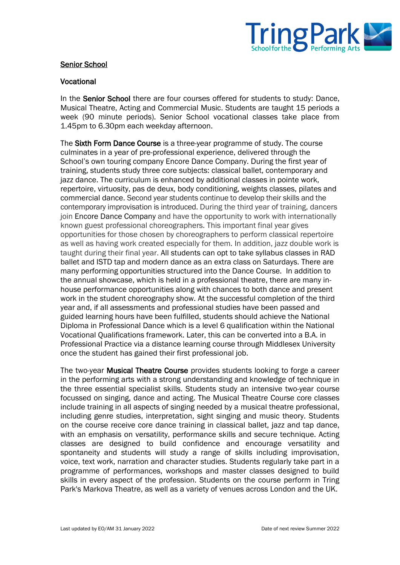

## Senior School

#### Vocational

In the Senior School there are four courses offered for students to study: Dance, Musical Theatre, Acting and Commercial Music. Students are taught 15 periods a week (90 minute periods). Senior School vocational classes take place from 1.45pm to 6.30pm each weekday afternoon.

The Sixth Form Dance Course is a three-year programme of study. The course culminates in a year of pre-professional experience, delivered through the School's own touring company Encore Dance Company. During the first year of training, students study three core subjects: classical ballet, contemporary and jazz dance. The curriculum is enhanced by additional classes in pointe work, repertoire, virtuosity, pas de deux, body conditioning, weights classes, pilates and commercial dance. Second year students continue to develop their skills and the contemporary improvisation is introduced. During the third year of training, dancers join Encore Dance Company and have the opportunity to work with internationally known guest professional choreographers. This important final year gives opportunities for those chosen by choreographers to perform classical repertoire as well as having work created especially for them. In addition, jazz double work is taught during their final year. All students can opt to take syllabus classes in RAD ballet and ISTD tap and modern dance as an extra class on Saturdays. There are many performing opportunities structured into the Dance Course. In addition to the annual showcase, which is held in a professional theatre, there are many inhouse performance opportunities along with chances to both dance and present work in the student choreography show. At the successful completion of the third year and, if all assessments and professional studies have been passed and guided learning hours have been fulfilled, students should achieve the National Diploma in Professional Dance which is a level 6 qualification within the National Vocational Qualifications framework. Later, this can be converted into a B.A. in Professional Practice via a distance learning course through Middlesex University once the student has gained their first professional job.

The two-year Musical Theatre Course provides students looking to forge a career in the performing arts with a strong understanding and knowledge of technique in the three essential specialist skills. Students study an intensive two-year course focussed on singing, dance and acting. The Musical Theatre Course core classes include training in all aspects of singing needed by a musical theatre professional, including genre studies, interpretation, sight singing and music theory. Students on the course receive core dance training in classical ballet, jazz and tap dance, with an emphasis on versatility, performance skills and secure technique. Acting classes are designed to build confidence and encourage versatility and spontaneity and students will study a range of skills including improvisation, voice, text work, narration and character studies. Students regularly take part in a programme of performances, workshops and master classes designed to build skills in every aspect of the profession. Students on the course perform in Tring Park's Markova Theatre, as well as a variety of venues across London and the UK.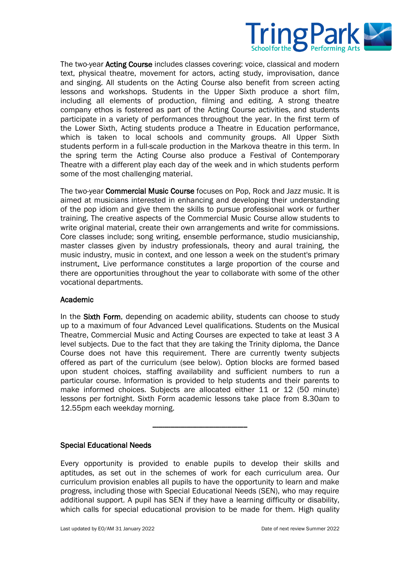

The two-year Acting Course includes classes covering: voice, classical and modern text, physical theatre, movement for actors, acting study, improvisation, dance and singing. All students on the Acting Course also benefit from screen acting lessons and workshops. Students in the Upper Sixth produce a short film, including all elements of production, filming and editing. A strong theatre company ethos is fostered as part of the Acting Course activities, and students participate in a variety of performances throughout the year. In the first term of the Lower Sixth, Acting students produce a Theatre in Education performance, which is taken to local schools and community groups. All Upper Sixth students perform in a full-scale production in the Markova theatre in this term. In the spring term the Acting Course also produce a Festival of Contemporary Theatre with a different play each day of the week and in which students perform some of the most challenging material.

The two-year Commercial Music Course focuses on Pop, Rock and Jazz music. It is aimed at musicians interested in enhancing and developing their understanding of the pop idiom and give them the skills to pursue professional work or further training. The creative aspects of the Commercial Music Course allow students to write original material, create their own arrangements and write for commissions. Core classes include; song writing, ensemble performance, studio musicianship, master classes given by industry professionals, theory and aural training, the music industry, music in context, and one lesson a week on the student's primary instrument. Live performance constitutes a large proportion of the course and there are opportunities throughout the year to collaborate with some of the other vocational departments.

#### Academic

In the Sixth Form, depending on academic ability, students can choose to study up to a maximum of four Advanced Level qualifications. Students on the Musical Theatre, Commercial Music and Acting Courses are expected to take at least 3 A level subjects. Due to the fact that they are taking the Trinity diploma, the Dance Course does not have this requirement. There are currently twenty subjects offered as part of the curriculum (see below). Option blocks are formed based upon student choices, staffing availability and sufficient numbers to run a particular course. Information is provided to help students and their parents to make informed choices. Subjects are allocated either 11 or 12 (50 minute) lessons per fortnight. Sixth Form academic lessons take place from 8.30am to 12.55pm each weekday morning.

### Special Educational Needs

Every opportunity is provided to enable pupils to develop their skills and aptitudes, as set out in the schemes of work for each curriculum area. Our curriculum provision enables all pupils to have the opportunity to learn and make progress, including those with Special Educational Needs (SEN), who may require additional support. A pupil has SEN if they have a learning difficulty or disability, which calls for special educational provision to be made for them. High quality

-----------------------------------------------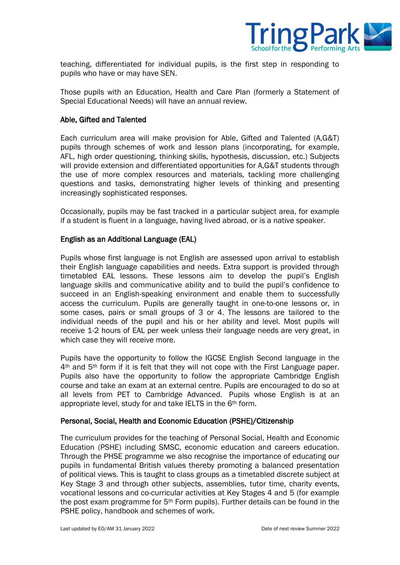

teaching, differentiated for individual pupils, is the first step in responding to pupils who have or may have SEN.

Those pupils with an Education, Health and Care Plan (formerly a Statement of Special Educational Needs) will have an annual review.

#### Able, Gifted and Talented

Each curriculum area will make provision for Able, Gifted and Talented (A,G&T) pupils through schemes of work and lesson plans (incorporating, for example, AFL, high order questioning, thinking skills, hypothesis, discussion, etc.) Subjects will provide extension and differentiated opportunities for A,G&T students through the use of more complex resources and materials, tackling more challenging questions and tasks, demonstrating higher levels of thinking and presenting increasingly sophisticated responses.

Occasionally, pupils may be fast tracked in a particular subject area, for example if a student is fluent in a language, having lived abroad, or is a native speaker.

#### English as an Additional Language (EAL)

Pupils whose first language is not English are assessed upon arrival to establish their English language capabilities and needs. Extra support is provided through timetabled EAL lessons. These lessons aim to develop the pupil's English language skills and communicative ability and to build the pupil's confidence to succeed in an English-speaking environment and enable them to successfully access the curriculum. Pupils are generally taught in one-to-one lessons or, in some cases, pairs or small groups of 3 or 4. The lessons are tailored to the individual needs of the pupil and his or her ability and level. Most pupils will receive 1-2 hours of EAL per week unless their language needs are very great, in which case they will receive more.

Pupils have the opportunity to follow the IGCSE English Second language in the  $4<sup>th</sup>$  and  $5<sup>th</sup>$  form if it is felt that they will not cope with the First Language paper. Pupils also have the opportunity to follow the appropriate Cambridge English course and take an exam at an external centre. Pupils are encouraged to do so at all levels from PET to Cambridge Advanced. Pupils whose English is at an appropriate level, study for and take IELTS in the 6<sup>th</sup> form.

#### Personal, Social, Health and Economic Education (PSHE)/Citizenship

The curriculum provides for the teaching of Personal Social, Health and Economic Education (PSHE) including SMSC, economic education and careers education. Through the PHSE programme we also recognise the importance of educating our pupils in fundamental British values thereby promoting a balanced presentation of political views. This is taught to class groups as a timetabled discrete subject at Key Stage 3 and through other subjects, assemblies, tutor time, charity events, vocational lessons and co-curricular activities at Key Stages 4 and 5 (for example the post exam programme for 5th Form pupils). Further details can be found in the PSHE policy, handbook and schemes of work.